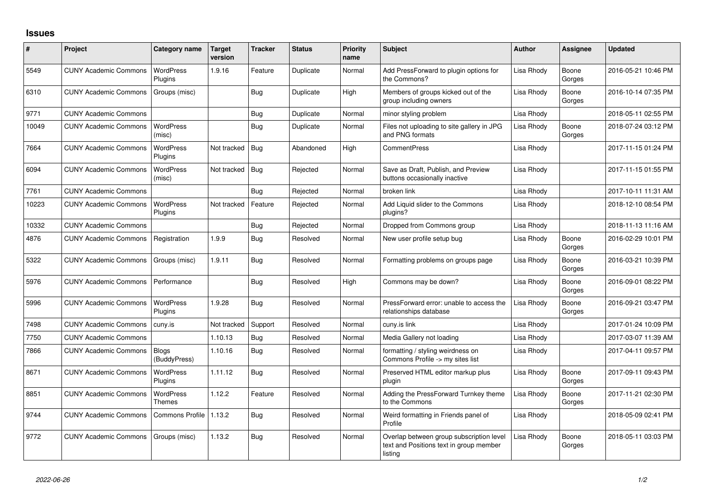## **Issues**

| #     | Project                      | Category name                | Target<br>version | <b>Tracker</b> | <b>Status</b> | <b>Priority</b><br>name | <b>Subject</b>                                                                                 | <b>Author</b> | Assignee        | <b>Updated</b>      |
|-------|------------------------------|------------------------------|-------------------|----------------|---------------|-------------------------|------------------------------------------------------------------------------------------------|---------------|-----------------|---------------------|
| 5549  | <b>CUNY Academic Commons</b> | <b>WordPress</b><br>Plugins  | 1.9.16            | Feature        | Duplicate     | Normal                  | Add PressForward to plugin options for<br>the Commons?                                         | Lisa Rhody    | Boone<br>Gorges | 2016-05-21 10:46 PM |
| 6310  | <b>CUNY Academic Commons</b> | Groups (misc)                |                   | Bug            | Duplicate     | High                    | Members of groups kicked out of the<br>group including owners                                  | Lisa Rhody    | Boone<br>Gorges | 2016-10-14 07:35 PM |
| 9771  | <b>CUNY Academic Commons</b> |                              |                   | Bug            | Duplicate     | Normal                  | minor styling problem                                                                          | Lisa Rhody    |                 | 2018-05-11 02:55 PM |
| 10049 | <b>CUNY Academic Commons</b> | <b>WordPress</b><br>(misc)   |                   | Bug            | Duplicate     | Normal                  | Files not uploading to site gallery in JPG<br>and PNG formats                                  | Lisa Rhody    | Boone<br>Gorges | 2018-07-24 03:12 PM |
| 7664  | <b>CUNY Academic Commons</b> | <b>WordPress</b><br>Plugins  | Not tracked       | Bug            | Abandoned     | High                    | <b>CommentPress</b>                                                                            | Lisa Rhody    |                 | 2017-11-15 01:24 PM |
| 6094  | <b>CUNY Academic Commons</b> | <b>WordPress</b><br>(misc)   | Not tracked       | Bug            | Rejected      | Normal                  | Save as Draft, Publish, and Preview<br>buttons occasionally inactive                           | Lisa Rhody    |                 | 2017-11-15 01:55 PM |
| 7761  | <b>CUNY Academic Commons</b> |                              |                   | Bug            | Rejected      | Normal                  | broken link                                                                                    | Lisa Rhody    |                 | 2017-10-11 11:31 AM |
| 10223 | <b>CUNY Academic Commons</b> | <b>WordPress</b><br>Plugins  | Not tracked       | Feature        | Rejected      | Normal                  | Add Liquid slider to the Commons<br>plugins?                                                   | Lisa Rhodv    |                 | 2018-12-10 08:54 PM |
| 10332 | <b>CUNY Academic Commons</b> |                              |                   | Bug            | Rejected      | Normal                  | Dropped from Commons group                                                                     | Lisa Rhody    |                 | 2018-11-13 11:16 AM |
| 4876  | <b>CUNY Academic Commons</b> | Registration                 | 1.9.9             | Bug            | Resolved      | Normal                  | New user profile setup bug                                                                     | Lisa Rhodv    | Boone<br>Gorges | 2016-02-29 10:01 PM |
| 5322  | <b>CUNY Academic Commons</b> | Groups (misc)                | 1.9.11            | Bug            | Resolved      | Normal                  | Formatting problems on groups page                                                             | Lisa Rhody    | Boone<br>Gorges | 2016-03-21 10:39 PM |
| 5976  | <b>CUNY Academic Commons</b> | Performance                  |                   | Bug            | Resolved      | High                    | Commons may be down?                                                                           | Lisa Rhody    | Boone<br>Gorges | 2016-09-01 08:22 PM |
| 5996  | <b>CUNY Academic Commons</b> | <b>WordPress</b><br>Plugins  | 1.9.28            | Bug            | Resolved      | Normal                  | PressForward error: unable to access the<br>relationships database                             | Lisa Rhody    | Boone<br>Gorges | 2016-09-21 03:47 PM |
| 7498  | <b>CUNY Academic Commons</b> | cuny.is                      | Not tracked       | Support        | Resolved      | Normal                  | cuny.is link                                                                                   | Lisa Rhody    |                 | 2017-01-24 10:09 PM |
| 7750  | <b>CUNY Academic Commons</b> |                              | 1.10.13           | <b>Bug</b>     | Resolved      | Normal                  | Media Gallery not loading                                                                      | Lisa Rhody    |                 | 2017-03-07 11:39 AM |
| 7866  | <b>CUNY Academic Commons</b> | <b>Blogs</b><br>(BuddyPress) | 1.10.16           | Bug            | Resolved      | Normal                  | formatting / styling weirdness on<br>Commons Profile -> my sites list                          | Lisa Rhody    |                 | 2017-04-11 09:57 PM |
| 8671  | <b>CUNY Academic Commons</b> | <b>WordPress</b><br>Plugins  | 1.11.12           | Bug            | Resolved      | Normal                  | Preserved HTML editor markup plus<br>plugin                                                    | Lisa Rhody    | Boone<br>Gorges | 2017-09-11 09:43 PM |
| 8851  | <b>CUNY Academic Commons</b> | <b>WordPress</b><br>Themes   | 1.12.2            | Feature        | Resolved      | Normal                  | Adding the PressForward Turnkey theme<br>to the Commons                                        | Lisa Rhody    | Boone<br>Gorges | 2017-11-21 02:30 PM |
| 9744  | <b>CUNY Academic Commons</b> | <b>Commons Profile</b>       | 1.13.2            | Bug            | Resolved      | Normal                  | Weird formatting in Friends panel of<br>Profile                                                | Lisa Rhody    |                 | 2018-05-09 02:41 PM |
| 9772  | <b>CUNY Academic Commons</b> | Groups (misc)                | 1.13.2            | Bug            | Resolved      | Normal                  | Overlap between group subscription level<br>text and Positions text in group member<br>listing | Lisa Rhody    | Boone<br>Gorges | 2018-05-11 03:03 PM |